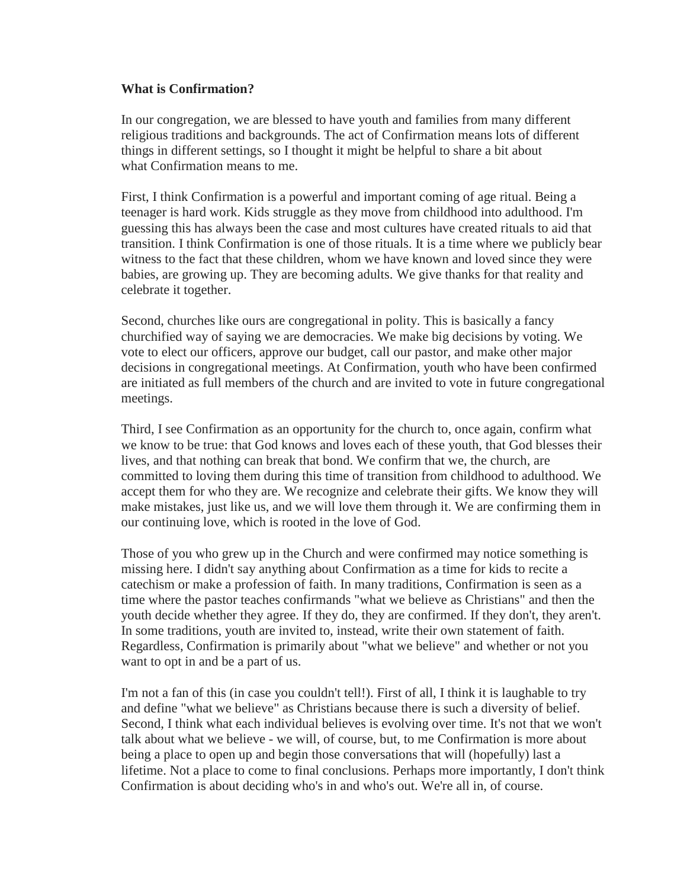## **What is Confirmation?**

In our congregation, we are blessed to have youth and families from many different religious traditions and backgrounds. The act of Confirmation means lots of different things in different settings, so I thought it might be helpful to share a bit about what Confirmation means to me.

First, I think Confirmation is a powerful and important coming of age ritual. Being a teenager is hard work. Kids struggle as they move from childhood into adulthood. I'm guessing this has always been the case and most cultures have created rituals to aid that transition. I think Confirmation is one of those rituals. It is a time where we publicly bear witness to the fact that these children, whom we have known and loved since they were babies, are growing up. They are becoming adults. We give thanks for that reality and celebrate it together.

Second, churches like ours are congregational in polity. This is basically a fancy churchified way of saying we are democracies. We make big decisions by voting. We vote to elect our officers, approve our budget, call our pastor, and make other major decisions in congregational meetings. At Confirmation, youth who have been confirmed are initiated as full members of the church and are invited to vote in future congregational meetings.

Third, I see Confirmation as an opportunity for the church to, once again, confirm what we know to be true: that God knows and loves each of these youth, that God blesses their lives, and that nothing can break that bond. We confirm that we, the church, are committed to loving them during this time of transition from childhood to adulthood. We accept them for who they are. We recognize and celebrate their gifts. We know they will make mistakes, just like us, and we will love them through it. We are confirming them in our continuing love, which is rooted in the love of God.

Those of you who grew up in the Church and were confirmed may notice something is missing here. I didn't say anything about Confirmation as a time for kids to recite a catechism or make a profession of faith. In many traditions, Confirmation is seen as a time where the pastor teaches confirmands "what we believe as Christians" and then the youth decide whether they agree. If they do, they are confirmed. If they don't, they aren't. In some traditions, youth are invited to, instead, write their own statement of faith. Regardless, Confirmation is primarily about "what we believe" and whether or not you want to opt in and be a part of us.

I'm not a fan of this (in case you couldn't tell!). First of all, I think it is laughable to try and define "what we believe" as Christians because there is such a diversity of belief. Second, I think what each individual believes is evolving over time. It's not that we won't talk about what we believe - we will, of course, but, to me Confirmation is more about being a place to open up and begin those conversations that will (hopefully) last a lifetime. Not a place to come to final conclusions. Perhaps more importantly, I don't think Confirmation is about deciding who's in and who's out. We're all in, of course.